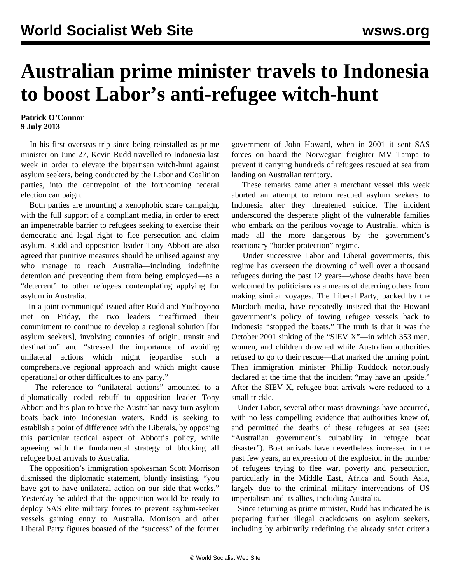## **Australian prime minister travels to Indonesia to boost Labor's anti-refugee witch-hunt**

## **Patrick O'Connor 9 July 2013**

 In his first overseas trip since being reinstalled as prime minister on June 27, Kevin Rudd travelled to Indonesia last week in order to elevate the bipartisan witch-hunt against asylum seekers, being conducted by the Labor and Coalition parties, into the centrepoint of the forthcoming federal election campaign.

 Both parties are mounting a xenophobic scare campaign, with the full support of a compliant media, in order to erect an impenetrable barrier to refugees seeking to exercise their democratic and legal right to flee persecution and claim asylum. Rudd and opposition leader Tony Abbott are also agreed that punitive measures should be utilised against any who manage to reach Australia—including indefinite detention and preventing them from being employed—as a "deterrent" to other refugees contemplating applying for asylum in Australia.

 In a joint communiqué issued after Rudd and Yudhoyono met on Friday, the two leaders "reaffirmed their commitment to continue to develop a regional solution [for asylum seekers], involving countries of origin, transit and destination" and "stressed the importance of avoiding unilateral actions which might jeopardise such a comprehensive regional approach and which might cause operational or other difficulties to any party."

 The reference to "unilateral actions" amounted to a diplomatically coded rebuff to opposition leader Tony Abbott and his plan to have the Australian navy turn asylum boats back into Indonesian waters. Rudd is seeking to establish a point of difference with the Liberals, by opposing this particular tactical aspect of Abbott's policy, while agreeing with the fundamental strategy of blocking all refugee boat arrivals to Australia.

 The opposition's immigration spokesman Scott Morrison dismissed the diplomatic statement, bluntly insisting, "you have got to have unilateral action on our side that works." Yesterday he added that the opposition would be ready to deploy SAS elite military forces to prevent asylum-seeker vessels gaining entry to Australia. Morrison and other Liberal Party figures boasted of the "success" of the former government of John Howard, when in 2001 it sent SAS forces on board the Norwegian freighter MV Tampa to prevent it carrying hundreds of refugees rescued at sea from landing on Australian territory.

 These remarks came after a merchant vessel this week aborted an attempt to return rescued asylum seekers to Indonesia after they threatened suicide. The incident underscored the desperate plight of the vulnerable families who embark on the perilous voyage to Australia, which is made all the more dangerous by the government's reactionary "border protection" regime.

 Under successive Labor and Liberal governments, this regime has overseen the drowning of well over a thousand refugees during the past 12 years—whose deaths have been welcomed by politicians as a means of deterring others from making similar voyages. The Liberal Party, backed by the Murdoch media, have repeatedly insisted that the Howard government's policy of towing refugee vessels back to Indonesia "stopped the boats." The truth is that it was the October 2001 sinking of the "SIEV X"—in which 353 men, women, and children drowned while Australian authorities refused to go to their rescue—that marked the turning point. Then immigration minister Phillip Ruddock notoriously declared at the time that the incident "may have an upside." After the SIEV X, refugee boat arrivals were reduced to a small trickle.

 Under Labor, several other mass drownings have occurred, with no less compelling evidence that authorities knew of, and permitted the deaths of these refugees at sea (see: ["Australian government's culpability in refugee boat](/en/articles/2012/06/siev-j15.html) [disaster"](/en/articles/2012/06/siev-j15.html)). Boat arrivals have nevertheless increased in the past few years, an expression of the explosion in the number of refugees trying to flee war, poverty and persecution, particularly in the Middle East, Africa and South Asia, largely due to the criminal military interventions of US imperialism and its allies, including Australia.

 Since returning as prime minister, Rudd has indicated he is preparing further illegal crackdowns on asylum seekers, including by arbitrarily redefining the already strict criteria